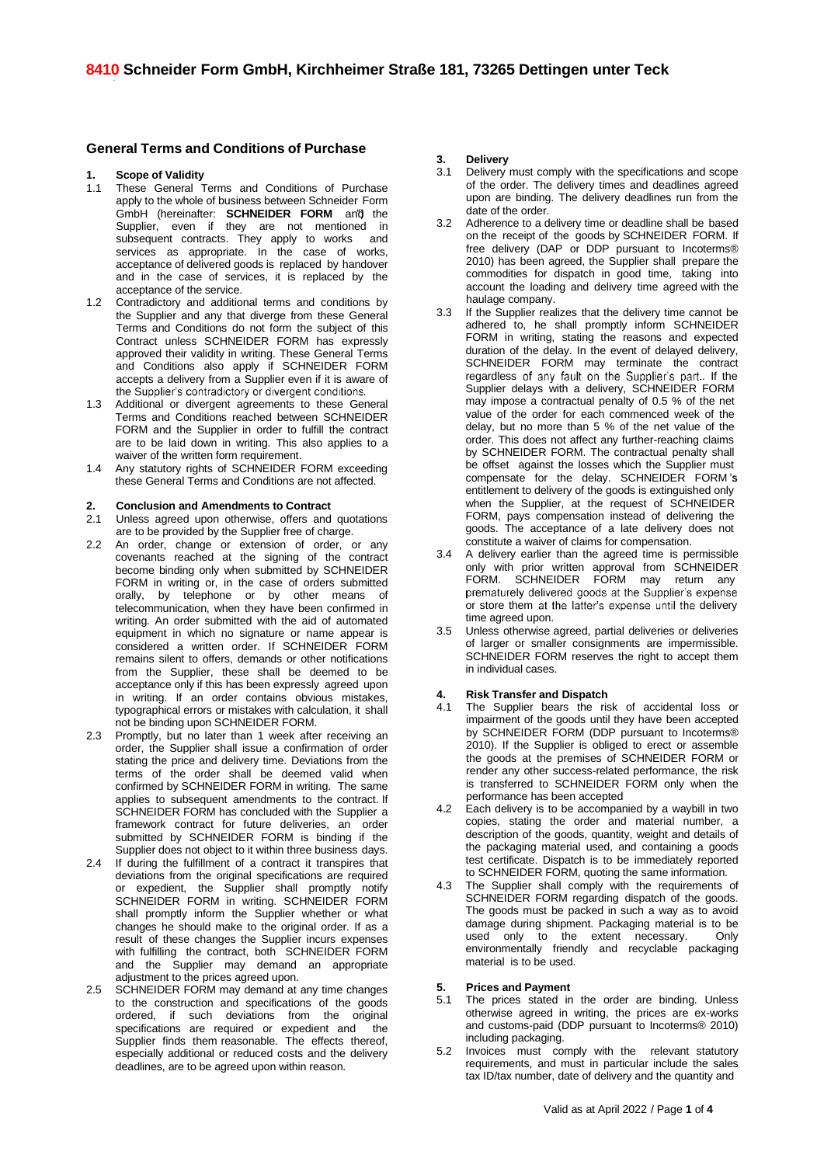# **General Terms and Conditions of Purchase**

# **1. Scope of Validity**

- These General Terms and Conditions of Purchase apply to the whole of business between Schneider Form GmbH (hereinafter: **SCHNEIDER FORM** and the Supplier, even if they are not mentioned in subsequent contracts. They apply to works and services as appropriate. In the case of works, acceptance of delivered goods is replaced by handover and in the case of services, it is replaced by the acceptance of the service.
- 1.2 Contradictory and additional terms and conditions by the Supplier and any that diverge from these General Terms and Conditions do not form the subject of this Contract unless SCHNEIDER FORM has expressly approved their validity in writing. These General Terms and Conditions also apply if SCHNEIDER FORM accepts a delivery from a Supplier even if it is aware of the Supplier's contradictory or divergent conditions.
- 1.3 Additional or divergent agreements to these General Terms and Conditions reached between SCHNEIDER FORM and the Supplier in order to fulfill the contract are to be laid down in writing. This also applies to a waiver of the written form requirement.
- 1.4 Any statutory rights of SCHNEIDER FORM exceeding these General Terms and Conditions are not affected.

# **2. Conclusion and Amendments to Contract**

- 2.1 Unless agreed upon otherwise, offers and quotations are to be provided by the Supplier free of charge.
- 2.2 An order, change or extension of order, or any covenants reached at the signing of the contract become binding only when submitted by SCHNEIDER FORM in writing or, in the case of orders submitted orally, by telephone or by other means of telecommunication, when they have been confirmed in writing. An order submitted with the aid of automated equipment in which no signature or name appear is considered a written order. If SCHNEIDER FORM remains silent to offers, demands or other notifications from the Supplier, these shall be deemed to be acceptance only if this has been expressly agreed upon in writing. If an order contains obvious mistakes, typographical errors or mistakes with calculation, it shall not be binding upon SCHNEIDER FORM.
- 2.3 Promptly, but no later than 1 week after receiving an order, the Supplier shall issue a confirmation of order stating the price and delivery time. Deviations from the terms of the order shall be deemed valid when confirmed by SCHNEIDER FORM in writing. The same applies to subsequent amendments to the contract. If SCHNEIDER FORM has concluded with the Supplier a framework contract for future deliveries, an order submitted by SCHNEIDER FORM is binding if the Supplier does not object to it within three business days.
- 2.4 If during the fulfillment of a contract it transpires that deviations from the original specifications are required or expedient, the Supplier shall promptly notify SCHNEIDER FORM in writing. SCHNEIDER FORM shall promptly inform the Supplier whether or what changes he should make to the original order. If as a result of these changes the Supplier incurs expenses with fulfilling the contract, both SCHNEIDER FORM and the Supplier may demand an appropriate adjustment to the prices agreed upon.
- 2.5 SCHNEIDER FORM may demand at any time changes to the construction and specifications of the goods ordered, if such deviations from the original specifications are required or expedient and the Supplier finds them reasonable. The effects thereof, especially additional or reduced costs and the delivery deadlines, are to be agreed upon within reason.

# **3. Delivery**

- 3.1 Delivery must comply with the specifications and scope of the order. The delivery times and deadlines agreed upon are binding. The delivery deadlines run from the date of the order.
- 3.2 Adherence to a delivery time or deadline shall be based on the receipt of the goods by SCHNEIDER FORM. If free delivery (DAP or DDP pursuant to Incoterms® 2010) has been agreed, the Supplier shall prepare the commodities for dispatch in good time, taking into account the loading and delivery time agreed with the haulage company.
- 3.3 If the Supplier realizes that the delivery time cannot be adhered to, he shall promptly inform SCHNEIDER FORM in writing, stating the reasons and expected duration of the delay. In the event of delayed delivery, SCHNEIDER FORM may terminate the contract regardless of any fault on the Supplier's part. If the Supplier delays with a delivery, SCHNEIDER FORM may impose a contractual penalty of 0.5 % of the net value of the order for each commenced week of the delay, but no more than 5 % of the net value of the order. This does not affect any further-reaching claims by SCHNEIDER FORM. The contractual penalty shall be offset against the losses which the Supplier must compensate for the delay. SCHNEIDER FORM's entitlement to delivery of the goods is extinguished only when the Supplier, at the request of SCHNEIDER FORM, pays compensation instead of delivering the goods. The acceptance of a late delivery does not constitute a waiver of claims for compensation.
- 3.4 A delivery earlier than the agreed time is permissible only with prior written approval from SCHNEIDER FORM. SCHNEIDER FORM may return any prematurely delivered goods at the Supplier's expense or store them at the latter's expense until the delivery time agreed upon.
- 3.5 Unless otherwise agreed, partial deliveries or deliveries of larger or smaller consignments are impermissible. SCHNEIDER FORM reserves the right to accept them in individual cases.

# **4. Risk Transfer and Dispatch**

- The Supplier bears the risk of accidental loss or impairment of the goods until they have been accepted by SCHNEIDER FORM (DDP pursuant to Incoterms® 2010). If the Supplier is obliged to erect or assemble the goods at the premises of SCHNEIDER FORM or render any other success-related performance, the risk is transferred to SCHNEIDER FORM only when the performance has been accepted
- 4.2 Each delivery is to be accompanied by a waybill in two copies, stating the order and material number, a description of the goods, quantity, weight and details of the packaging material used, and containing a goods test certificate. Dispatch is to be immediately reported to SCHNEIDER FORM, quoting the same information.
- 4.3 The Supplier shall comply with the requirements of SCHNEIDER FORM regarding dispatch of the goods. The goods must be packed in such a way as to avoid damage during shipment. Packaging material is to be<br>used only to the extent pecessary Only used only to the extent necessary. environmentally friendly and recyclable packaging material is to be used.

# **5. Prices and Payment**

- 5.1 The prices stated in the order are binding. Unless otherwise agreed in writing, the prices are ex-works and customs-paid (DDP pursuant to Incoterms® 2010) including packaging.
- 5.2 Invoices must comply with the relevant statutory requirements, and must in particular include the sales tax ID/tax number, date of delivery and the quantity and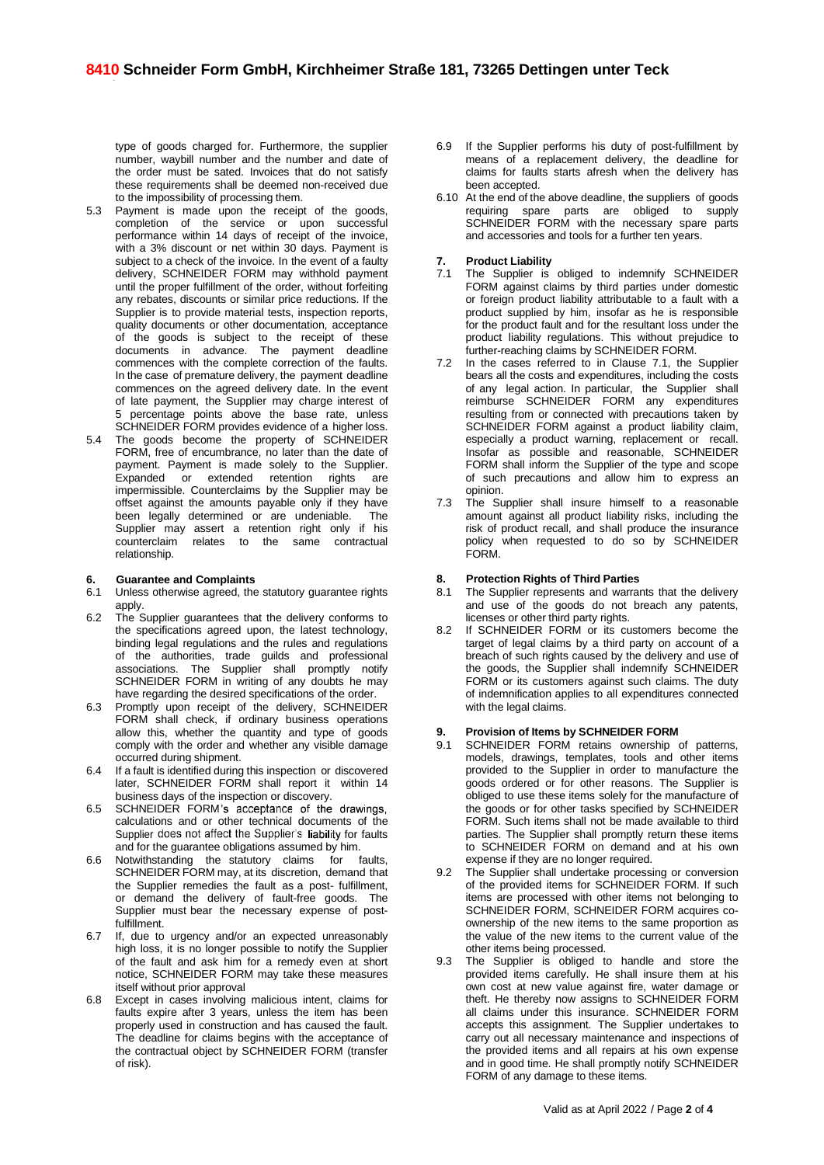type of goods charged for. Furthermore, the supplier number, waybill number and the number and date of the order must be sated. Invoices that do not satisfy these requirements shall be deemed non-received due to the impossibility of processing them.

- 5.3 Payment is made upon the receipt of the goods, completion of the service or upon successful performance within 14 days of receipt of the invoice, with a 3% discount or net within 30 days. Payment is subject to a check of the invoice. In the event of a faulty delivery, SCHNEIDER FORM may withhold payment until the proper fulfillment of the order, without forfeiting any rebates, discounts or similar price reductions. If the Supplier is to provide material tests, inspection reports, quality documents or other documentation, acceptance of the goods is subject to the receipt of these documents in advance. The payment deadline commences with the complete correction of the faults. In the case of premature delivery, the payment deadline commences on the agreed delivery date. In the event of late payment, the Supplier may charge interest of 5 percentage points above the base rate, unless SCHNEIDER FORM provides evidence of a higher loss.
- 5.4 The goods become the property of SCHNEIDER FORM, free of encumbrance, no later than the date of payment. Payment is made solely to the Supplier. Expanded or extended retention rights are impermissible. Counterclaims by the Supplier may be offset against the amounts payable only if they have been legally determined or are undeniable. The Supplier may assert a retention right only if his counterclaim relates to the same contractual relationship.

## **6. Guarantee and Complaints**

- 6.1 Unless otherwise agreed, the statutory guarantee rights apply.
- 6.2 The Supplier guarantees that the delivery conforms to the specifications agreed upon, the latest technology, binding legal regulations and the rules and regulations of the authorities, trade guilds and professional associations. The Supplier shall promptly notify SCHNEIDER FORM in writing of any doubts he may have regarding the desired specifications of the order.
- 6.3 Promptly upon receipt of the delivery, SCHNEIDER FORM shall check, if ordinary business operations allow this, whether the quantity and type of goods comply with the order and whether any visible damage occurred during shipment.
- 6.4 If a fault is identified during this inspection or discovered later, SCHNEIDER FORM shall report it within 14 business days of the inspection or discovery.
- 6.5 SCHNEIDER FORM's acceptance of the drawings, calculations and or other technical documents of the Supplier does not affect the Supplier's liability for faults and for the guarantee obligations assumed by him.
- 6.6 Notwithstanding the statutory claims for faults, SCHNEIDER FORM may, at its discretion, demand that the Supplier remedies the fault as a post- fulfillment, or demand the delivery of fault-free goods. The Supplier must bear the necessary expense of postfulfillment.
- 6.7 If, due to urgency and/or an expected unreasonably high loss, it is no longer possible to notify the Supplier of the fault and ask him for a remedy even at short notice, SCHNEIDER FORM may take these measures itself without prior approval
- 6.8 Except in cases involving malicious intent, claims for faults expire after 3 years, unless the item has been properly used in construction and has caused the fault. The deadline for claims begins with the acceptance of the contractual object by SCHNEIDER FORM (transfer of risk).
- 6.9 If the Supplier performs his duty of post-fulfillment by means of a replacement delivery, the deadline for claims for faults starts afresh when the delivery has been accepted.
- 6.10 At the end of the above deadline, the suppliers of goods requiring spare parts are obliged to supply SCHNEIDER FORM with the necessary spare parts and accessories and tools for a further ten years.

## **7. Product Liability**

- 7.1 The Supplier is obliged to indemnify SCHNEIDER FORM against claims by third parties under domestic or foreign product liability attributable to a fault with a product supplied by him, insofar as he is responsible for the product fault and for the resultant loss under the product liability regulations. This without prejudice to further-reaching claims by SCHNEIDER FORM.
- 7.2 In the cases referred to in Clause 7.1, the Supplier bears all the costs and expenditures, including the costs of any legal action. In particular, the Supplier shall reimburse SCHNEIDER FORM any expenditures resulting from or connected with precautions taken by SCHNEIDER FORM against a product liability claim, especially a product warning, replacement or recall. Insofar as possible and reasonable, SCHNEIDER FORM shall inform the Supplier of the type and scope of such precautions and allow him to express an opinion.
- 7.3 The Supplier shall insure himself to a reasonable amount against all product liability risks, including the risk of product recall, and shall produce the insurance policy when requested to do so by SCHNEIDER FORM.

## **8. Protection Rights of Third Parties**

- 8.1 The Supplier represents and warrants that the delivery and use of the goods do not breach any patents, licenses or other third party rights.
- 8.2 If SCHNEIDER FORM or its customers become the target of legal claims by a third party on account of a breach of such rights caused by the delivery and use of the goods, the Supplier shall indemnify SCHNEIDER FORM or its customers against such claims. The duty of indemnification applies to all expenditures connected with the legal claims.

# **9. Provision of Items by SCHNEIDER FORM**

- SCHNEIDER FORM retains ownership of patterns, models, drawings, templates, tools and other items provided to the Supplier in order to manufacture the goods ordered or for other reasons. The Supplier is obliged to use these items solely for the manufacture of the goods or for other tasks specified by SCHNEIDER FORM. Such items shall not be made available to third parties. The Supplier shall promptly return these items to SCHNEIDER FORM on demand and at his own expense if they are no longer required.
- 9.2 The Supplier shall undertake processing or conversion of the provided items for SCHNEIDER FORM. If such items are processed with other items not belonging to SCHNEIDER FORM, SCHNEIDER FORM acquires coownership of the new items to the same proportion as the value of the new items to the current value of the other items being processed.
- 9.3 The Supplier is obliged to handle and store the provided items carefully. He shall insure them at his own cost at new value against fire, water damage or theft. He thereby now assigns to SCHNEIDER FORM all claims under this insurance. SCHNEIDER FORM accepts this assignment. The Supplier undertakes to carry out all necessary maintenance and inspections of the provided items and all repairs at his own expense and in good time. He shall promptly notify SCHNEIDER FORM of any damage to these items.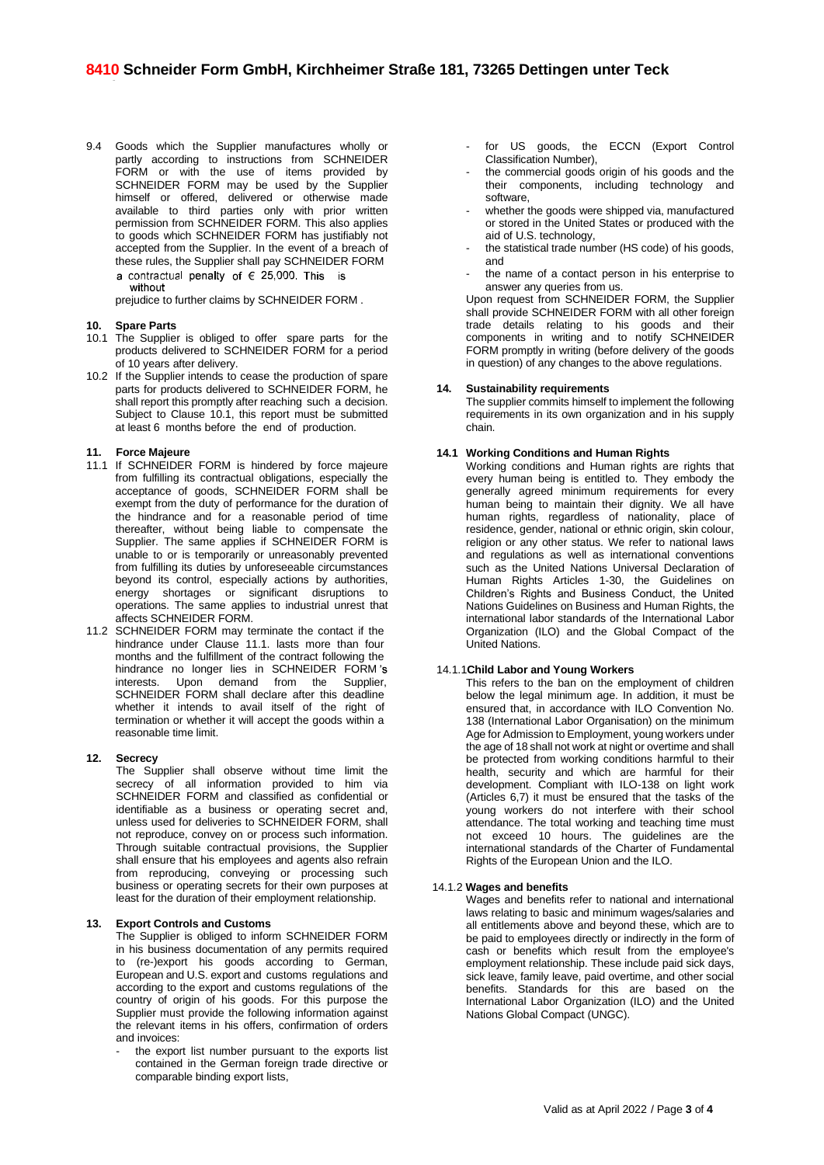- 9.4 Goods which the Supplier manufactures wholly or partly according to instructions from SCHNEIDER FORM or with the use of items provided by SCHNEIDER FORM may be used by the Supplier himself or offered, delivered or otherwise made available to third parties only with prior written permission from SCHNEIDER FORM. This also applies to goods which SCHNEIDER FORM has justifiably not accepted from the Supplier. In the event of a breach of these rules, the Supplier shall pay SCHNEIDER FORM a contractual penalty of  $\epsilon$  25,000. This is
	- without

prejudice to further claims by SCHNEIDER FORM .

# **10. Spare Parts**

- 10.1 The Supplier is obliged to offer spare parts for the products delivered to SCHNEIDER FORM for a period of 10 years after delivery.
- 10.2 If the Supplier intends to cease the production of spare parts for products delivered to SCHNEIDER FORM, he shall report this promptly after reaching such a decision. Subject to Clause 10.1, this report must be submitted at least 6 months before the end of production.

# **11. Force Majeure**

- 11.1 If SCHNEIDER FORM is hindered by force majeure from fulfilling its contractual obligations, especially the acceptance of goods, SCHNEIDER FORM shall be exempt from the duty of performance for the duration of the hindrance and for a reasonable period of time thereafter, without being liable to compensate the Supplier. The same applies if SCHNEIDER FORM is unable to or is temporarily or unreasonably prevented from fulfilling its duties by unforeseeable circumstances beyond its control, especially actions by authorities, energy shortages or significant disruptions to operations. The same applies to industrial unrest that affects SCHNEIDER FORM.
- 11.2 SCHNEIDER FORM may terminate the contact if the hindrance under Clause 11.1. lasts more than four months and the fulfillment of the contract following the hindrance no longer lies in SCHNEIDER FORM interests. Upon demand from the Supplier, SCHNEIDER FORM shall declare after this deadline whether it intends to avail itself of the right of termination or whether it will accept the goods within a reasonable time limit.

# **12. Secrecy**

The Supplier shall observe without time limit the secrecy of all information provided to him via SCHNEIDER FORM and classified as confidential or identifiable as a business or operating secret and, unless used for deliveries to SCHNEIDER FORM, shall not reproduce, convey on or process such information. Through suitable contractual provisions, the Supplier shall ensure that his employees and agents also refrain from reproducing, conveying or processing such business or operating secrets for their own purposes at least for the duration of their employment relationship.

#### **13. Export Controls and Customs**

The Supplier is obliged to inform SCHNEIDER FORM in his business documentation of any permits required to (re-)export his goods according to German, European and U.S. export and customs regulations and according to the export and customs regulations of the country of origin of his goods. For this purpose the Supplier must provide the following information against the relevant items in his offers, confirmation of orders and invoices:

the export list number pursuant to the exports list contained in the German foreign trade directive or comparable binding export lists,

- for US goods, the ECCN (Export Control Classification Number),
- the commercial goods origin of his goods and the their components, including technology and software,
- whether the goods were shipped via, manufactured or stored in the United States or produced with the aid of U.S. technology,
- the statistical trade number (HS code) of his goods, and
- the name of a contact person in his enterprise to answer any queries from us.

Upon request from SCHNEIDER FORM, the Supplier shall provide SCHNEIDER FORM with all other foreign trade details relating to his goods and their components in writing and to notify SCHNEIDER FORM promptly in writing (before delivery of the goods in question) of any changes to the above regulations.

# **14. Sustainability requirements**

The supplier commits himself to implement the following requirements in its own organization and in his supply chain.

## **14.1 Working Conditions and Human Rights**

Working conditions and Human rights are rights that every human being is entitled to. They embody the generally agreed minimum requirements for every human being to maintain their dignity. We all have human rights, regardless of nationality, place of residence, gender, national or ethnic origin, skin colour, religion or any other status. We refer to national laws and regulations as well as international conventions such as the United Nations Universal Declaration of Human Rights Articles 1-30, the Guidelines on Children's Rights and Business Conduct, the United Nations Guidelines on Business and Human Rights, the international labor standards of the International Labor Organization (ILO) and the Global Compact of the United Nations.

# 14.1.1**Child Labor and Young Workers**

This refers to the ban on the employment of children below the legal minimum age. In addition, it must be ensured that, in accordance with ILO Convention No. 138 (International Labor Organisation) on the minimum Age for Admission to Employment, young workers under the age of 18 shall not work at night or overtime and shall be protected from working conditions harmful to their health, security and which are harmful for their development. Compliant with ILO-138 on light work (Articles 6,7) it must be ensured that the tasks of the young workers do not interfere with their school attendance. The total working and teaching time must not exceed 10 hours. The guidelines are the international standards of the Charter of Fundamental Rights of the European Union and the ILO.

# 14.1.2 **Wages and benefits**

Wages and benefits refer to national and international laws relating to basic and minimum wages/salaries and all entitlements above and beyond these, which are to be paid to employees directly or indirectly in the form of cash or benefits which result from the employee's employment relationship. These include paid sick days, sick leave, family leave, paid overtime, and other social benefits. Standards for this are based on the International Labor Organization (ILO) and the United Nations Global Compact (UNGC).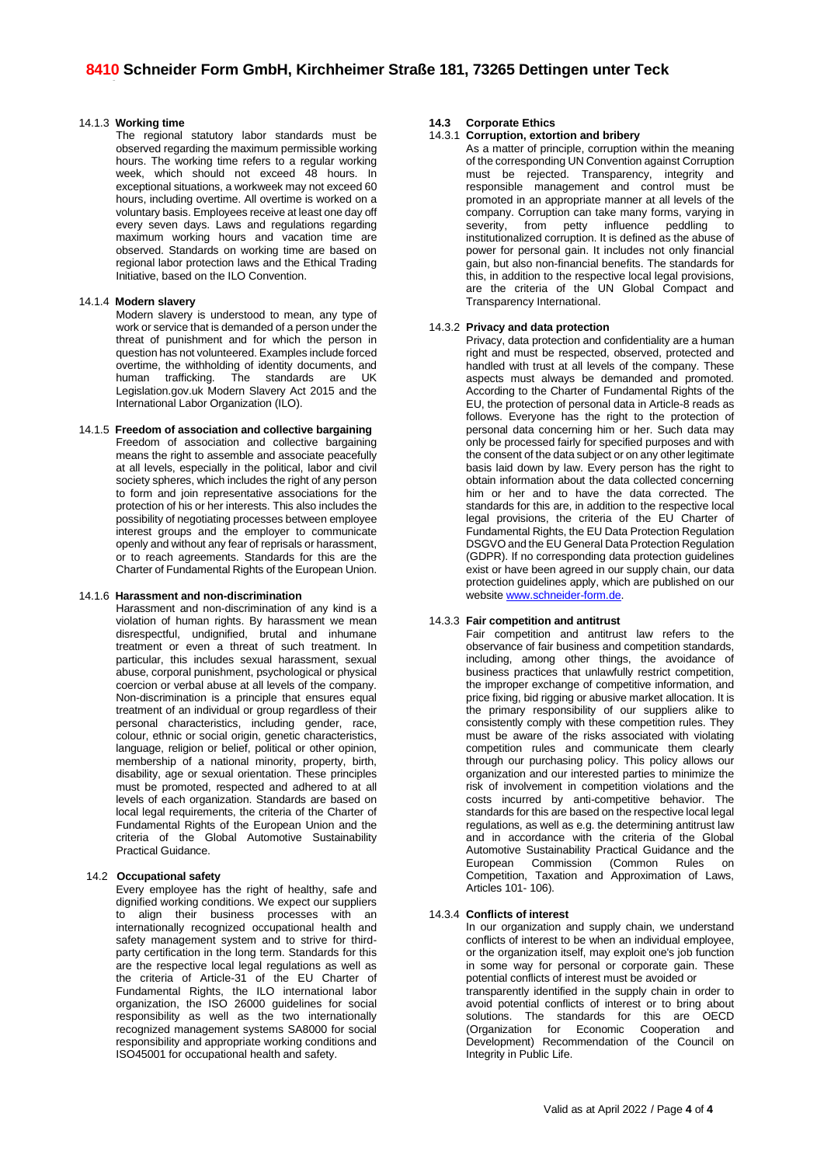## 14.1.3 **Working time**

The regional statutory labor standards must be observed regarding the maximum permissible working hours. The working time refers to a regular working week, which should not exceed 48 hours. In exceptional situations, a workweek may not exceed 60 hours, including overtime. All overtime is worked on a voluntary basis. Employees receive at least one day off every seven days. Laws and regulations regarding maximum working hours and vacation time are observed. Standards on working time are based on regional labor protection laws and the Ethical Trading Initiative, based on the ILO Convention.

### 14.1.4 **Modern slavery**

Modern slavery is understood to mean, any type of work or service that is demanded of a person under the threat of punishment and for which the person in question has not volunteered. Examples include forced overtime, the withholding of identity documents, and human trafficking. The standards are UK Legislation.gov.uk Modern Slavery Act 2015 and the International Labor Organization (ILO).

# 14.1.5 **Freedom of association and collective bargaining**

Freedom of association and collective bargaining means the right to assemble and associate peacefully at all levels, especially in the political, labor and civil society spheres, which includes the right of any person to form and join representative associations for the protection of his or her interests. This also includes the possibility of negotiating processes between employee interest groups and the employer to communicate openly and without any fear of reprisals or harassment, or to reach agreements. Standards for this are the Charter of Fundamental Rights of the European Union.

# 14.1.6 **Harassment and non-discrimination**

Harassment and non-discrimination of any kind is a violation of human rights. By harassment we mean disrespectful, undignified, brutal and inhumane treatment or even a threat of such treatment. In particular, this includes sexual harassment, sexual abuse, corporal punishment, psychological or physical coercion or verbal abuse at all levels of the company. Non-discrimination is a principle that ensures equal treatment of an individual or group regardless of their personal characteristics, including gender, race, colour, ethnic or social origin, genetic characteristics, language, religion or belief, political or other opinion, membership of a national minority, property, birth, disability, age or sexual orientation. These principles must be promoted, respected and adhered to at all levels of each organization. Standards are based on local legal requirements, the criteria of the Charter of Fundamental Rights of the European Union and the criteria of the Global Automotive Sustainability Practical Guidance.

# 14.2 **Occupational safety**

Every employee has the right of healthy, safe and dignified working conditions. We expect our suppliers to align their business processes with an internationally recognized occupational health and safety management system and to strive for thirdparty certification in the long term. Standards for this are the respective local legal regulations as well as the criteria of Article-31 of the EU Charter of Fundamental Rights, the ILO international labor organization, the ISO 26000 guidelines for social responsibility as well as the two internationally recognized management systems SA8000 for social responsibility and appropriate working conditions and ISO45001 for occupational health and safety.

# **14.3 Corporate Ethics**

## 14.3.1 **Corruption, extortion and bribery**

As a matter of principle, corruption within the meaning of the corresponding UN Convention against Corruption must be rejected. Transparency, integrity and responsible management and control must be promoted in an appropriate manner at all levels of the company. Corruption can take many forms, varying in<br>severity, from petty influence peddling to from petty influence peddling to institutionalized corruption. It is defined as the abuse of power for personal gain. It includes not only financial gain, but also non-financial benefits. The standards for this, in addition to the respective local legal provisions, are the criteria of the UN Global Compact and Transparency International.

# 14.3.2 **Privacy and data protection**

Privacy, data protection and confidentiality are a human right and must be respected, observed, protected and handled with trust at all levels of the company. These aspects must always be demanded and promoted. According to the Charter of Fundamental Rights of the EU, the protection of personal data in Article-8 reads as follows. Everyone has the right to the protection of personal data concerning him or her. Such data may only be processed fairly for specified purposes and with the consent of the data subject or on any other legitimate basis laid down by law. Every person has the right to obtain information about the data collected concerning him or her and to have the data corrected. The standards for this are, in addition to the respective local legal provisions, the criteria of the EU Charter of Fundamental Rights, the EU Data Protection Regulation DSGVO and the EU General Data Protection Regulation (GDPR). If no corresponding data protection guidelines exist or have been agreed in our supply chain, our data protection guidelines apply, which are published on our website [www.schneider-form.de.](http://www.schneider-form.de/)

# 14.3.3 **Fair competition and antitrust**

Fair competition and antitrust law refers to the observance of fair business and competition standards, including, among other things, the avoidance of business practices that unlawfully restrict competition, the improper exchange of competitive information, and price fixing, bid rigging or abusive market allocation. It is the primary responsibility of our suppliers alike to consistently comply with these competition rules. They must be aware of the risks associated with violating competition rules and communicate them clearly through our purchasing policy. This policy allows our organization and our interested parties to minimize the risk of involvement in competition violations and the costs incurred by anti-competitive behavior. The standards for this are based on the respective local legal regulations, as well as e.g. the determining antitrust law and in accordance with the criteria of the Global Automotive Sustainability Practical Guidance and the European Commission (Common Rules on Competition, Taxation and Approximation of Laws, Articles 101- 106).

# 14.3.4 **Conflicts of interest**

In our organization and supply chain, we understand conflicts of interest to be when an individual employee, or the organization itself, may exploit one's job function in some way for personal or corporate gain. These potential conflicts of interest must be avoided or transparently identified in the supply chain in order to avoid potential conflicts of interest or to bring about solutions. The standards for this are OECD (Organization for Economic Cooperation and Development) Recommendation of the Council on Integrity in Public Life.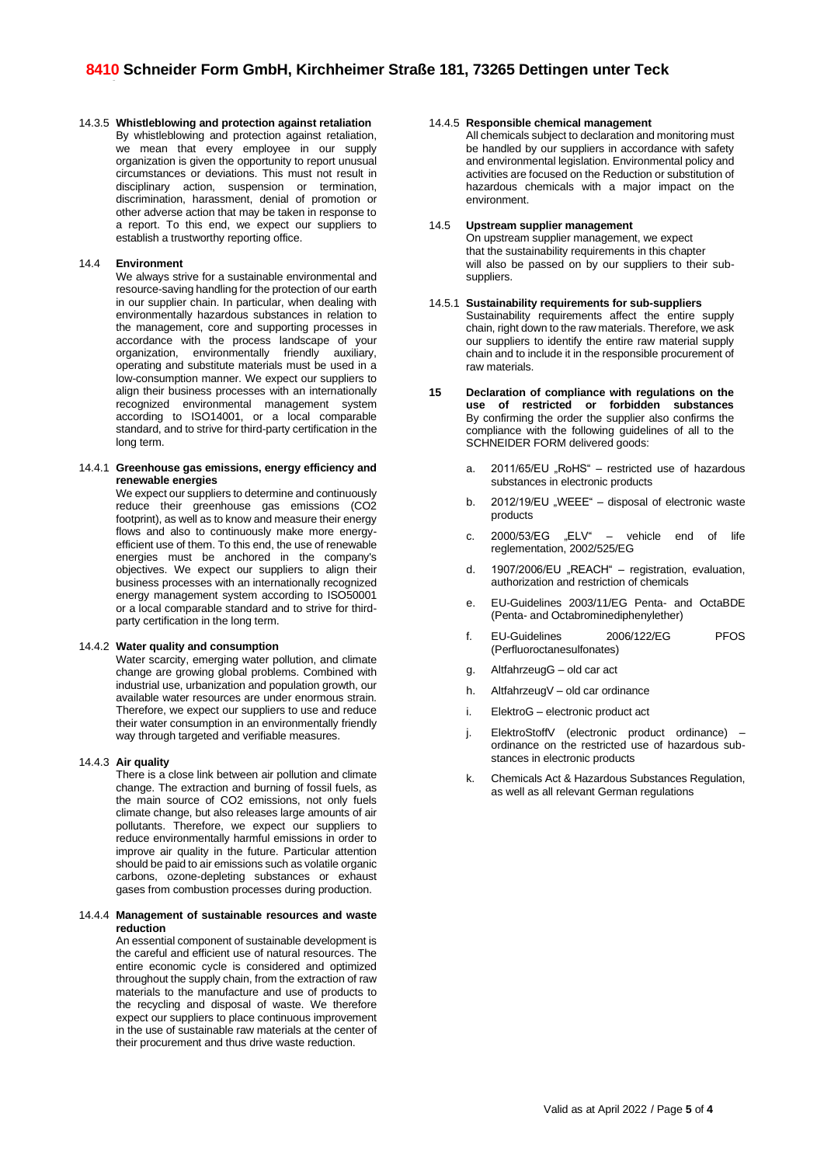14.3.5 **Whistleblowing and protection against retaliation** By whistleblowing and protection against retaliation, we mean that every employee in our supply organization is given the opportunity to report unusual circumstances or deviations. This must not result in disciplinary action, suspension or termination, discrimination, harassment, denial of promotion or other adverse action that may be taken in response to a report. To this end, we expect our suppliers to establish a trustworthy reporting office.

## 14.4 **Environment**

We always strive for a sustainable environmental and resource-saving handling for the protection of our earth in our supplier chain. In particular, when dealing with environmentally hazardous substances in relation to the management, core and supporting processes in accordance with the process landscape of your organization, environmentally friendly auxiliary, operating and substitute materials must be used in a low-consumption manner. We expect our suppliers to align their business processes with an internationally recognized environmental management system according to ISO14001, or a local comparable standard, and to strive for third-party certification in the long term.

#### 14.4.1 **Greenhouse gas emissions, energy efficiency and renewable energies**

We expect our suppliers to determine and continuously reduce their greenhouse gas emissions (CO2 footprint), as well as to know and measure their energy flows and also to continuously make more energyefficient use of them. To this end, the use of renewable energies must be anchored in the company's objectives. We expect our suppliers to align their business processes with an internationally recognized energy management system according to ISO50001 or a local comparable standard and to strive for thirdparty certification in the long term.

### 14.4.2 **Water quality and consumption**

Water scarcity, emerging water pollution, and climate change are growing global problems. Combined with industrial use, urbanization and population growth, our available water resources are under enormous strain. Therefore, we expect our suppliers to use and reduce their water consumption in an environmentally friendly way through targeted and verifiable measures.

# 14.4.3 **Air quality**

There is a close link between air pollution and climate change. The extraction and burning of fossil fuels, as the main source of CO2 emissions, not only fuels climate change, but also releases large amounts of air pollutants. Therefore, we expect our suppliers to reduce environmentally harmful emissions in order to improve air quality in the future. Particular attention should be paid to air emissions such as volatile organic carbons, ozone-depleting substances or exhaust gases from combustion processes during production.

#### 14.4.4 **Management of sustainable resources and waste reduction**

An essential component of sustainable development is the careful and efficient use of natural resources. The entire economic cycle is considered and optimized throughout the supply chain, from the extraction of raw materials to the manufacture and use of products to the recycling and disposal of waste. We therefore expect our suppliers to place continuous improvement in the use of sustainable raw materials at the center of their procurement and thus drive waste reduction.

#### 14.4.5 **Responsible chemical management**

All chemicals subject to declaration and monitoring must be handled by our suppliers in accordance with safety and environmental legislation. Environmental policy and activities are focused on the Reduction or substitution of hazardous chemicals with a major impact on the environment.

# 14.5 **Upstream supplier management**

On upstream supplier management, we expect that the sustainability requirements in this chapter will also be passed on by our suppliers to their subsuppliers.

- 14.5.1 **Sustainability requirements for sub-suppliers** Sustainability requirements affect the entire supply chain, right down to the raw materials. Therefore, we ask our suppliers to identify the entire raw material supply chain and to include it in the responsible procurement of raw materials.
- **15 Declaration of compliance with regulations on the use of restricted or forbidden substances** By confirming the order the supplier also confirms the compliance with the following guidelines of all to the SCHNEIDER FORM delivered goods:
	- a. 2011/65/EU "RoHS" restricted use of hazardous substances in electronic products
	- b. 2012/19/EU "WEEE" disposal of electronic waste products
	- c. 2000/53/EG "ELV" vehicle end of life reglementation, 2002/525/EG
	- d. 1907/2006/EU "REACH" registration, evaluation, authorization and restriction of chemicals
	- e. EU-Guidelines 2003/11/EG Penta- and OctaBDE (Penta- and Octabrominediphenylether)
	- f. EU-Guidelines 2006/122/EG PFOS (Perfluoroctanesulfonates)
	- g. AltfahrzeugG old car act
	- h. AltfahrzeugV old car ordinance
	- i. ElektroG electronic product act
	- j. ElektroStoffV (electronic product ordinance) ordinance on the restricted use of hazardous substances in electronic products
	- k. Chemicals Act & Hazardous Substances Regulation, as well as all relevant German regulations